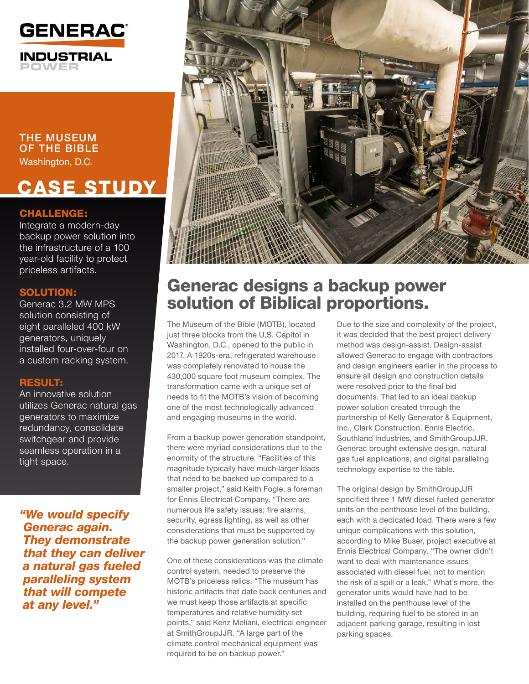

THE MUSEUM OF THE BIBLE Washington, D.C.

# CASE STUDY

# CHALLENGE:

Integrate a modern-day backup power solution into the infrastructure of a 100 year-old facility to protect priceless artifacts.

# SOLUTION:

Generac 3.2 MW MPS solution consisting of eight paralleled 400 kW generators, uniquely installed four-over-four on a custom racking system.

# RESULT:

An innovative solution utilizes Generac natural gas generators to maximize redundancy, consolidate switchgear and provide seamless operation in a tight space.

*"We would specify Generac again. They demonstrate that they can deliver a natural gas fueled paralleling system that will compete at any level."*



# Generac designs a backup power solution of Biblical proportions.

The Museum of the Bible (MOTB), located just three blocks from the U.S. Capitol in Washington, D.C., opened to the public in 2017. A 1920s-era, refrigerated warehouse was completely renovated to house the 430,000 square foot museum complex. The transformation came with a unique set of needs to fit the MOTB's vision of becoming one of the most technologically advanced and engaging museums in the world.

From a backup power generation standpoint, there were myriad considerations due to the enormity of the structure. "Facilities of this magnitude typically have much larger loads that need to be backed up compared to a smaller project," said Keith Fogle, a foreman for Ennis Electrical Company. "There are numerous life safety issues; fire alarms, security, egress lighting, as well as other considerations that must be supported by the backup power generation solution."

One of these considerations was the climate control system, needed to preserve the MOTB's priceless relics. "The museum has historic artifacts that date back centuries and we must keep those artifacts at specific temperatures and relative humidity set points," said Kenz Meliani, electrical engineer at SmithGroupJJR. "A large part of the climate control mechanical equipment was required to be on backup power."

Due to the size and complexity of the project, it was decided that the best project delivery method was design-assist. Design-assist allowed Generac to engage with contractors and design engineers earlier in the process to ensure all design and construction details were resolved prior to the final bid documents. That led to an ideal backup power solution created through the partnership of Kelly Generator & Equipment, Inc., Clark Construction, Ennis Electric, Southland Industries, and SmithGroupJJR. Generac brought extensive design, natural gas fuel applications, and digital paralleling technology expertise to the table.

The original design by SmithGroupJJR specified three 1 MW diesel fueled generator units on the penthouse level of the building, each with a dedicated load. There were a few unique complications with this solution, according to Mike Buser, project executive at Ennis Electrical Company. "The owner didn't want to deal with maintenance issues associated with diesel fuel, not to mention the risk of a spill or a leak." What's more, the generator units would have had to be installed on the penthouse level of the building, requiring fuel to be stored in an adjacent parking garage, resulting in lost parking spaces.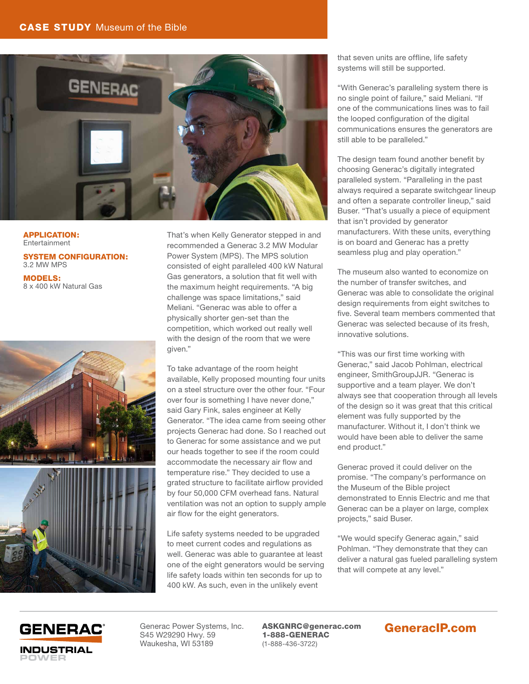### CASE STUDY Museum of the Bible



APPLICATION: Entertainment

SYSTEM CONFIGURATION: 3.2 MW MPS

MODELS: 8 x 400 kW Natural Gas



That's when Kelly Generator stepped in and recommended a Generac 3.2 MW Modular Power System (MPS). The MPS solution consisted of eight paralleled 400 kW Natural Gas generators, a solution that fit well with the maximum height requirements. "A big challenge was space limitations," said Meliani. "Generac was able to offer a physically shorter gen-set than the competition, which worked out really well with the design of the room that we were given."

To take advantage of the room height available, Kelly proposed mounting four units on a steel structure over the other four. "Four over four is something I have never done," said Gary Fink, sales engineer at Kelly Generator. "The idea came from seeing other projects Generac had done. So I reached out to Generac for some assistance and we put our heads together to see if the room could accommodate the necessary air flow and temperature rise." They decided to use a grated structure to facilitate airflow provided by four 50,000 CFM overhead fans. Natural ventilation was not an option to supply ample air flow for the eight generators.

Life safety systems needed to be upgraded to meet current codes and regulations as well. Generac was able to guarantee at least one of the eight generators would be serving life safety loads within ten seconds for up to 400 kW. As such, even in the unlikely event

that seven units are offline, life safety systems will still be supported.

"With Generac's paralleling system there is no single point of failure," said Meliani. "If one of the communications lines was to fail the looped configuration of the digital communications ensures the generators are still able to be paralleled."

The design team found another benefit by choosing Generac's digitally integrated paralleled system. "Paralleling in the past always required a separate switchgear lineup and often a separate controller lineup," said Buser. "That's usually a piece of equipment that isn't provided by generator manufacturers. With these units, everything is on board and Generac has a pretty seamless plug and play operation."

The museum also wanted to economize on the number of transfer switches, and Generac was able to consolidate the original design requirements from eight switches to five. Several team members commented that Generac was selected because of its fresh, innovative solutions.

"This was our first time working with Generac," said Jacob Pohlman, electrical engineer, SmithGroupJJR. "Generac is supportive and a team player. We don't always see that cooperation through all levels of the design so it was great that this critical element was fully supported by the manufacturer. Without it, I don't think we would have been able to deliver the same end product."

Generac proved it could deliver on the promise. "The company's performance on the Museum of the Bible project demonstrated to Ennis Electric and me that Generac can be a player on large, complex projects," said Buser.

"We would specify Generac again," said Pohlman. "They demonstrate that they can deliver a natural gas fueled paralleling system that will compete at any level."



Generac Power Systems, Inc. S45 W29290 Hwy. 59 Waukesha, WI 53189

ASKGNRC@generac.com 1-888-GENERAC (1-888-436-3722)

# GeneracIP.com